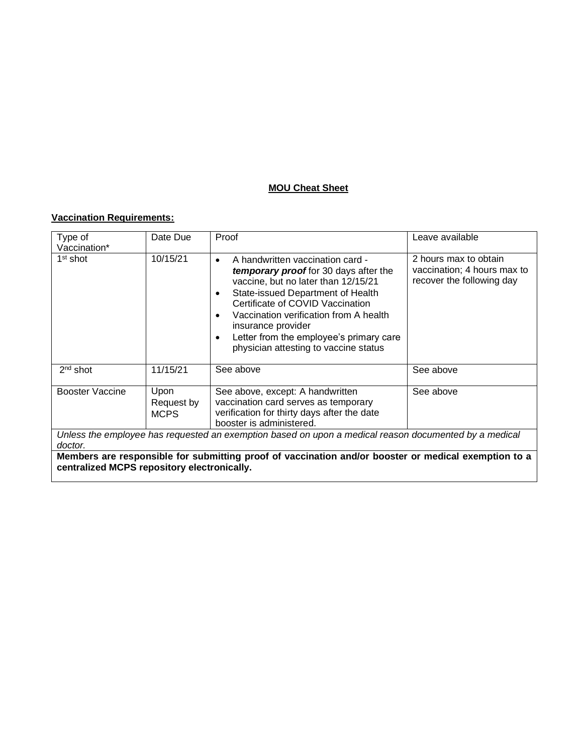# **MOU Cheat Sheet**

## **Vaccination Requirements:**

| Type of<br>Vaccination*                                                                                                                             | Date Due                          | Proof                                                                                                                                                                                                                                                                                                                                                                                     | Leave available                                                                   |
|-----------------------------------------------------------------------------------------------------------------------------------------------------|-----------------------------------|-------------------------------------------------------------------------------------------------------------------------------------------------------------------------------------------------------------------------------------------------------------------------------------------------------------------------------------------------------------------------------------------|-----------------------------------------------------------------------------------|
| 1 <sup>st</sup> shot                                                                                                                                | 10/15/21                          | A handwritten vaccination card -<br>$\bullet$<br>temporary proof for 30 days after the<br>vaccine, but no later than 12/15/21<br>State-issued Department of Health<br>٠<br>Certificate of COVID Vaccination<br>Vaccination verification from A health<br>$\bullet$<br>insurance provider<br>Letter from the employee's primary care<br>$\bullet$<br>physician attesting to vaccine status | 2 hours max to obtain<br>vaccination; 4 hours max to<br>recover the following day |
| $2nd$ shot                                                                                                                                          | 11/15/21                          | See above                                                                                                                                                                                                                                                                                                                                                                                 | See above                                                                         |
| Booster Vaccine                                                                                                                                     | Upon<br>Request by<br><b>MCPS</b> | See above, except: A handwritten<br>vaccination card serves as temporary<br>verification for thirty days after the date<br>booster is administered.                                                                                                                                                                                                                                       | See above                                                                         |
| Unless the employee has requested an exemption based on upon a medical reason documented by a medical<br>doctor.                                    |                                   |                                                                                                                                                                                                                                                                                                                                                                                           |                                                                                   |
| Members are responsible for submitting proof of vaccination and/or booster or medical exemption to a<br>centralized MCPS repository electronically. |                                   |                                                                                                                                                                                                                                                                                                                                                                                           |                                                                                   |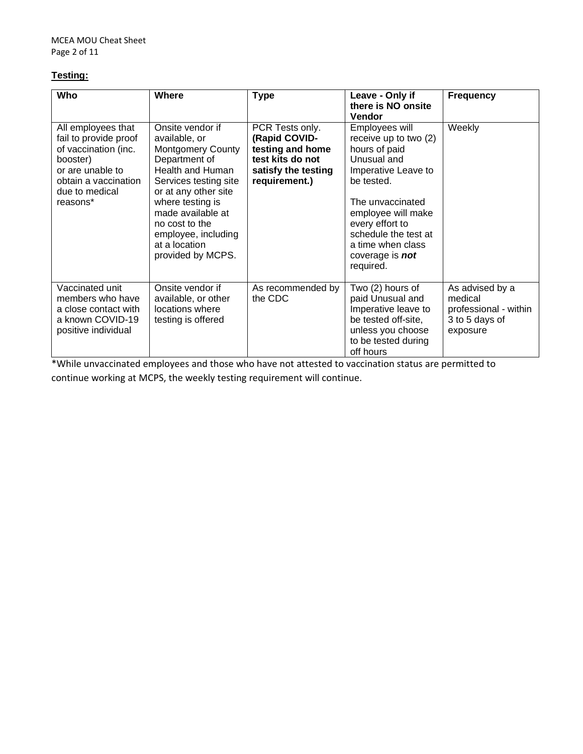## **Testing:**

| Who                                                                                                                                                       | Where                                                                                                                                                                                                                                                                       | <b>Type</b>                                                                                                      | Leave - Only if<br>there is NO onsite<br><b>Vendor</b>                                                                                                                                                                                                 | <b>Frequency</b>                                                                  |
|-----------------------------------------------------------------------------------------------------------------------------------------------------------|-----------------------------------------------------------------------------------------------------------------------------------------------------------------------------------------------------------------------------------------------------------------------------|------------------------------------------------------------------------------------------------------------------|--------------------------------------------------------------------------------------------------------------------------------------------------------------------------------------------------------------------------------------------------------|-----------------------------------------------------------------------------------|
| All employees that<br>fail to provide proof<br>of vaccination (inc.<br>booster)<br>or are unable to<br>obtain a vaccination<br>due to medical<br>reasons* | Onsite vendor if<br>available, or<br><b>Montgomery County</b><br>Department of<br>Health and Human<br>Services testing site<br>or at any other site<br>where testing is<br>made available at<br>no cost to the<br>employee, including<br>at a location<br>provided by MCPS. | PCR Tests only.<br>(Rapid COVID-<br>testing and home<br>test kits do not<br>satisfy the testing<br>requirement.) | Employees will<br>receive up to two (2)<br>hours of paid<br>Unusual and<br>Imperative Leave to<br>be tested.<br>The unvaccinated<br>employee will make<br>every effort to<br>schedule the test at<br>a time when class<br>coverage is not<br>required. | Weekly                                                                            |
| Vaccinated unit<br>members who have<br>a close contact with<br>a known COVID-19<br>positive individual                                                    | Onsite vendor if<br>available, or other<br>locations where<br>testing is offered                                                                                                                                                                                            | As recommended by<br>the CDC                                                                                     | Two (2) hours of<br>paid Unusual and<br>Imperative leave to<br>be tested off-site,<br>unless you choose<br>to be tested during<br>off hours                                                                                                            | As advised by a<br>medical<br>professional - within<br>3 to 5 days of<br>exposure |

\*While unvaccinated employees and those who have not attested to vaccination status are permitted to continue working at MCPS, the weekly testing requirement will continue.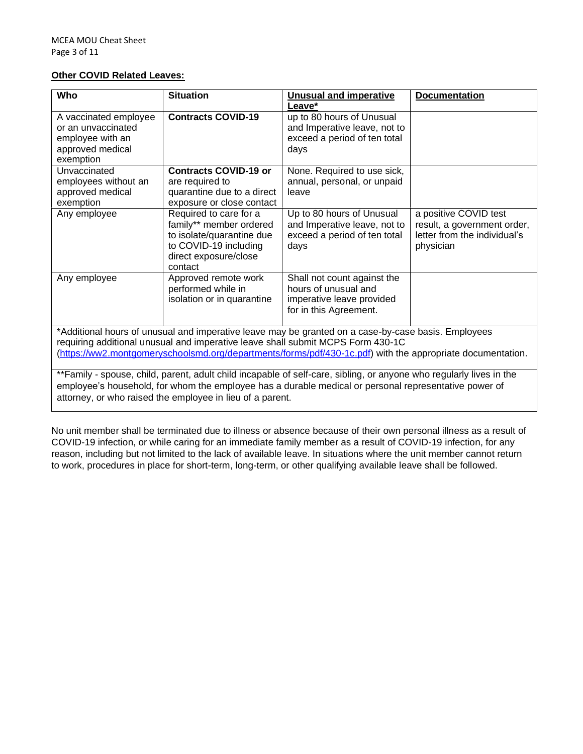#### **Other COVID Related Leaves:**

| Who                                                                                                                                                                                                                                                                                                  | <b>Situation</b>                                                                                                                            | <b>Unusual and imperative</b><br>Leave*                                                                    | <b>Documentation</b>                                                                              |
|------------------------------------------------------------------------------------------------------------------------------------------------------------------------------------------------------------------------------------------------------------------------------------------------------|---------------------------------------------------------------------------------------------------------------------------------------------|------------------------------------------------------------------------------------------------------------|---------------------------------------------------------------------------------------------------|
| A vaccinated employee<br>or an unvaccinated<br>employee with an<br>approved medical<br>exemption                                                                                                                                                                                                     | <b>Contracts COVID-19</b>                                                                                                                   | up to 80 hours of Unusual<br>and Imperative leave, not to<br>exceed a period of ten total<br>days          |                                                                                                   |
| Unvaccinated<br>employees without an<br>approved medical<br>exemption                                                                                                                                                                                                                                | <b>Contracts COVID-19 or</b><br>are required to<br>quarantine due to a direct<br>exposure or close contact                                  | None. Required to use sick,<br>annual, personal, or unpaid<br>leave                                        |                                                                                                   |
| Any employee                                                                                                                                                                                                                                                                                         | Required to care for a<br>family** member ordered<br>to isolate/quarantine due<br>to COVID-19 including<br>direct exposure/close<br>contact | Up to 80 hours of Unusual<br>and Imperative leave, not to<br>exceed a period of ten total<br>days          | a positive COVID test<br>result, a government order,<br>letter from the individual's<br>physician |
| Any employee                                                                                                                                                                                                                                                                                         | Approved remote work<br>performed while in<br>isolation or in quarantine                                                                    | Shall not count against the<br>hours of unusual and<br>imperative leave provided<br>for in this Agreement. |                                                                                                   |
| *Additional hours of unusual and imperative leave may be granted on a case-by-case basis. Employees<br>requiring additional unusual and imperative leave shall submit MCPS Form 430-1C<br>(https://ww2.montgomeryschoolsmd.org/departments/forms/pdf/430-1c.pdf) with the appropriate documentation. |                                                                                                                                             |                                                                                                            |                                                                                                   |
| **Family - spouse, child, parent, adult child incapable of self-care, sibling, or anyone who regularly lives in the<br>employee's household, for whom the employee has a durable medical or personal representative power of<br>attorney, or who raised the employee in lieu of a parent.            |                                                                                                                                             |                                                                                                            |                                                                                                   |

No unit member shall be terminated due to illness or absence because of their own personal illness as a result of COVID-19 infection, or while caring for an immediate family member as a result of COVID-19 infection, for any reason, including but not limited to the lack of available leave. In situations where the unit member cannot return to work, procedures in place for short-term, long-term, or other qualifying available leave shall be followed.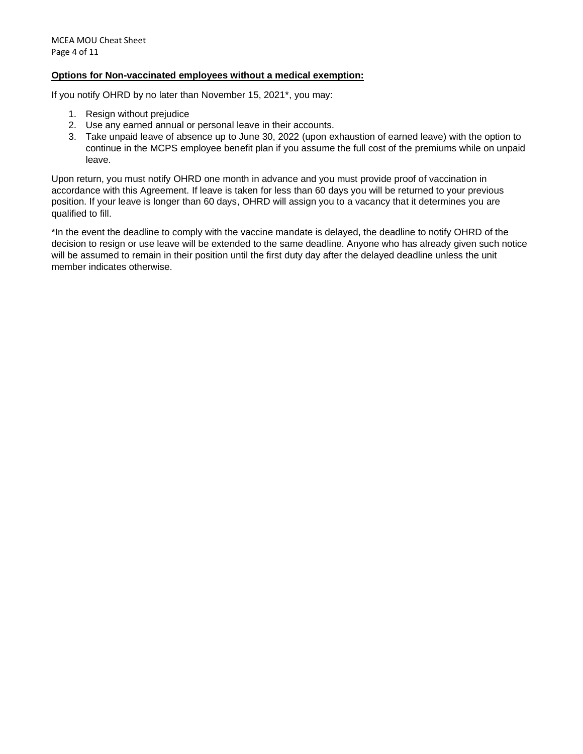#### **Options for Non-vaccinated employees without a medical exemption:**

If you notify OHRD by no later than November 15, 2021\*, you may:

- 1. Resign without prejudice
- 2. Use any earned annual or personal leave in their accounts.
- 3. Take unpaid leave of absence up to June 30, 2022 (upon exhaustion of earned leave) with the option to continue in the MCPS employee benefit plan if you assume the full cost of the premiums while on unpaid leave.

Upon return, you must notify OHRD one month in advance and you must provide proof of vaccination in accordance with this Agreement. If leave is taken for less than 60 days you will be returned to your previous position. If your leave is longer than 60 days, OHRD will assign you to a vacancy that it determines you are qualified to fill.

\*In the event the deadline to comply with the vaccine mandate is delayed, the deadline to notify OHRD of the decision to resign or use leave will be extended to the same deadline. Anyone who has already given such notice will be assumed to remain in their position until the first duty day after the delayed deadline unless the unit member indicates otherwise.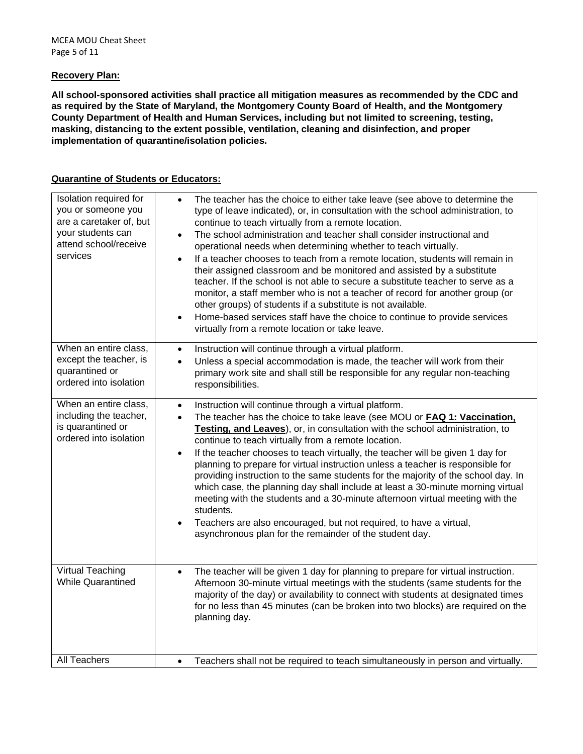#### **Recovery Plan:**

**All school-sponsored activities shall practice all mitigation measures as recommended by the CDC and as required by the State of Maryland, the Montgomery County Board of Health, and the Montgomery County Department of Health and Human Services, including but not limited to screening, testing, masking, distancing to the extent possible, ventilation, cleaning and disinfection, and proper implementation of quarantine/isolation policies.**

## **Quarantine of Students or Educators:**

| Isolation required for<br>you or someone you<br>are a caretaker of, but<br>your students can<br>attend school/receive<br>services | The teacher has the choice to either take leave (see above to determine the<br>$\bullet$<br>type of leave indicated), or, in consultation with the school administration, to<br>continue to teach virtually from a remote location.<br>The school administration and teacher shall consider instructional and<br>$\bullet$<br>operational needs when determining whether to teach virtually.<br>If a teacher chooses to teach from a remote location, students will remain in<br>$\bullet$<br>their assigned classroom and be monitored and assisted by a substitute<br>teacher. If the school is not able to secure a substitute teacher to serve as a<br>monitor, a staff member who is not a teacher of record for another group (or<br>other groups) of students if a substitute is not available.<br>Home-based services staff have the choice to continue to provide services<br>$\bullet$<br>virtually from a remote location or take leave. |
|-----------------------------------------------------------------------------------------------------------------------------------|-----------------------------------------------------------------------------------------------------------------------------------------------------------------------------------------------------------------------------------------------------------------------------------------------------------------------------------------------------------------------------------------------------------------------------------------------------------------------------------------------------------------------------------------------------------------------------------------------------------------------------------------------------------------------------------------------------------------------------------------------------------------------------------------------------------------------------------------------------------------------------------------------------------------------------------------------------|
| When an entire class,<br>except the teacher, is<br>quarantined or<br>ordered into isolation                                       | Instruction will continue through a virtual platform.<br>$\bullet$<br>Unless a special accommodation is made, the teacher will work from their<br>$\bullet$<br>primary work site and shall still be responsible for any regular non-teaching<br>responsibilities.                                                                                                                                                                                                                                                                                                                                                                                                                                                                                                                                                                                                                                                                                   |
| When an entire class,<br>including the teacher,<br>is quarantined or<br>ordered into isolation                                    | Instruction will continue through a virtual platform.<br>$\bullet$<br>The teacher has the choice to take leave (see MOU or FAQ 1: Vaccination,<br>$\bullet$<br>Testing, and Leaves), or, in consultation with the school administration, to<br>continue to teach virtually from a remote location.<br>If the teacher chooses to teach virtually, the teacher will be given 1 day for<br>$\bullet$<br>planning to prepare for virtual instruction unless a teacher is responsible for<br>providing instruction to the same students for the majority of the school day. In<br>which case, the planning day shall include at least a 30-minute morning virtual<br>meeting with the students and a 30-minute afternoon virtual meeting with the<br>students.<br>Teachers are also encouraged, but not required, to have a virtual,<br>$\bullet$<br>asynchronous plan for the remainder of the student day.                                             |
| <b>Virtual Teaching</b><br><b>While Quarantined</b>                                                                               | The teacher will be given 1 day for planning to prepare for virtual instruction.<br>$\bullet$<br>Afternoon 30-minute virtual meetings with the students (same students for the<br>majority of the day) or availability to connect with students at designated times<br>for no less than 45 minutes (can be broken into two blocks) are required on the<br>planning day.                                                                                                                                                                                                                                                                                                                                                                                                                                                                                                                                                                             |
| <b>All Teachers</b>                                                                                                               | Teachers shall not be required to teach simultaneously in person and virtually.                                                                                                                                                                                                                                                                                                                                                                                                                                                                                                                                                                                                                                                                                                                                                                                                                                                                     |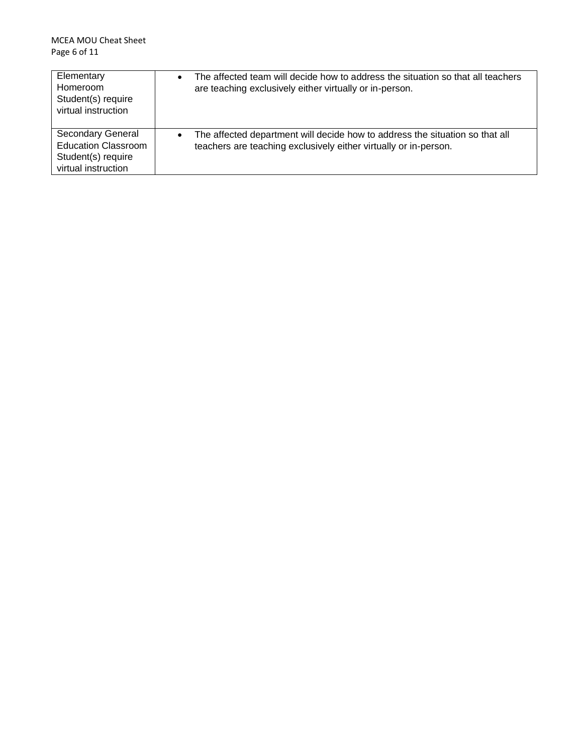| Elementary<br>Homeroom<br>Student(s) require<br>virtual instruction                          | $\bullet$ | The affected team will decide how to address the situation so that all teachers<br>are teaching exclusively either virtually or in-person.       |
|----------------------------------------------------------------------------------------------|-----------|--------------------------------------------------------------------------------------------------------------------------------------------------|
| Secondary General<br><b>Education Classroom</b><br>Student(s) require<br>virtual instruction | $\bullet$ | The affected department will decide how to address the situation so that all<br>teachers are teaching exclusively either virtually or in-person. |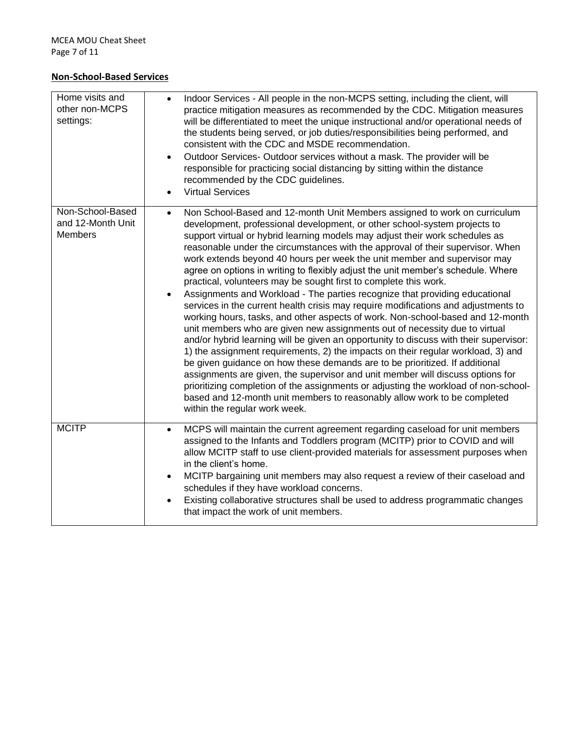# **Non-School-Based Services**

| Home visits and<br>other non-MCPS<br>settings:          | Indoor Services - All people in the non-MCPS setting, including the client, will<br>$\bullet$<br>practice mitigation measures as recommended by the CDC. Mitigation measures<br>will be differentiated to meet the unique instructional and/or operational needs of<br>the students being served, or job duties/responsibilities being performed, and<br>consistent with the CDC and MSDE recommendation.<br>Outdoor Services- Outdoor services without a mask. The provider will be<br>$\bullet$<br>responsible for practicing social distancing by sitting within the distance<br>recommended by the CDC guidelines.<br><b>Virtual Services</b>                                                                                                                                                                                                                                                                                                                                                                                                                                                                                                                                                                                                                                                                                                                                                                                                                |
|---------------------------------------------------------|------------------------------------------------------------------------------------------------------------------------------------------------------------------------------------------------------------------------------------------------------------------------------------------------------------------------------------------------------------------------------------------------------------------------------------------------------------------------------------------------------------------------------------------------------------------------------------------------------------------------------------------------------------------------------------------------------------------------------------------------------------------------------------------------------------------------------------------------------------------------------------------------------------------------------------------------------------------------------------------------------------------------------------------------------------------------------------------------------------------------------------------------------------------------------------------------------------------------------------------------------------------------------------------------------------------------------------------------------------------------------------------------------------------------------------------------------------------|
| Non-School-Based<br>and 12-Month Unit<br><b>Members</b> | Non School-Based and 12-month Unit Members assigned to work on curriculum<br>$\bullet$<br>development, professional development, or other school-system projects to<br>support virtual or hybrid learning models may adjust their work schedules as<br>reasonable under the circumstances with the approval of their supervisor. When<br>work extends beyond 40 hours per week the unit member and supervisor may<br>agree on options in writing to flexibly adjust the unit member's schedule. Where<br>practical, volunteers may be sought first to complete this work.<br>Assignments and Workload - The parties recognize that providing educational<br>services in the current health crisis may require modifications and adjustments to<br>working hours, tasks, and other aspects of work. Non-school-based and 12-month<br>unit members who are given new assignments out of necessity due to virtual<br>and/or hybrid learning will be given an opportunity to discuss with their supervisor:<br>1) the assignment requirements, 2) the impacts on their regular workload, 3) and<br>be given guidance on how these demands are to be prioritized. If additional<br>assignments are given, the supervisor and unit member will discuss options for<br>prioritizing completion of the assignments or adjusting the workload of non-school-<br>based and 12-month unit members to reasonably allow work to be completed<br>within the regular work week. |
| <b>MCITP</b>                                            | MCPS will maintain the current agreement regarding caseload for unit members<br>$\bullet$<br>assigned to the Infants and Toddlers program (MCITP) prior to COVID and will<br>allow MCITP staff to use client-provided materials for assessment purposes when<br>in the client's home.<br>MCITP bargaining unit members may also request a review of their caseload and<br>٠<br>schedules if they have workload concerns.<br>Existing collaborative structures shall be used to address programmatic changes<br>$\bullet$<br>that impact the work of unit members.                                                                                                                                                                                                                                                                                                                                                                                                                                                                                                                                                                                                                                                                                                                                                                                                                                                                                                |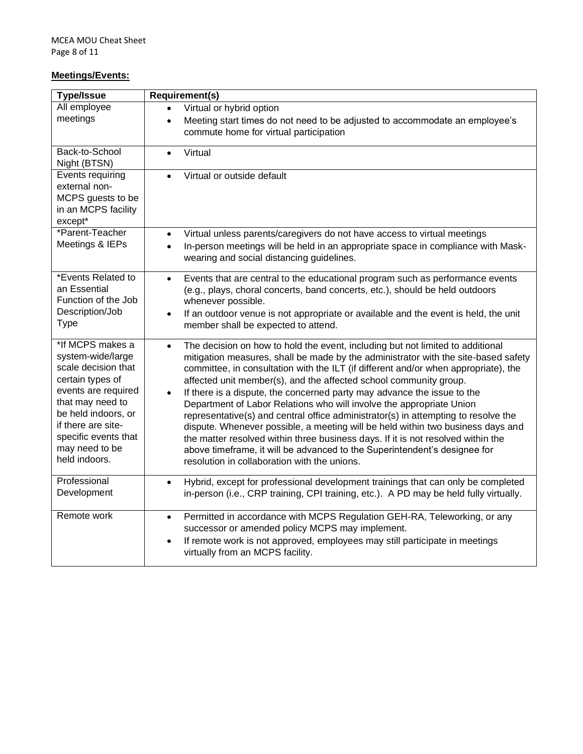# **Meetings/Events:**

| <b>Type/Issue</b>                       | <b>Requirement(s)</b>                                                                                                                                     |  |  |
|-----------------------------------------|-----------------------------------------------------------------------------------------------------------------------------------------------------------|--|--|
| All employee                            | Virtual or hybrid option                                                                                                                                  |  |  |
| meetings                                | Meeting start times do not need to be adjusted to accommodate an employee's<br>$\bullet$                                                                  |  |  |
|                                         | commute home for virtual participation                                                                                                                    |  |  |
| Back-to-School                          | Virtual<br>$\bullet$                                                                                                                                      |  |  |
| Night (BTSN)                            |                                                                                                                                                           |  |  |
| Events requiring<br>external non-       | Virtual or outside default                                                                                                                                |  |  |
| MCPS guests to be                       |                                                                                                                                                           |  |  |
| in an MCPS facility                     |                                                                                                                                                           |  |  |
| except*                                 |                                                                                                                                                           |  |  |
| *Parent-Teacher                         | Virtual unless parents/caregivers do not have access to virtual meetings<br>$\bullet$                                                                     |  |  |
| Meetings & IEPs                         | In-person meetings will be held in an appropriate space in compliance with Mask-<br>$\bullet$                                                             |  |  |
|                                         | wearing and social distancing guidelines.                                                                                                                 |  |  |
| *Events Related to                      | Events that are central to the educational program such as performance events<br>$\bullet$                                                                |  |  |
| an Essential                            | (e.g., plays, choral concerts, band concerts, etc.), should be held outdoors                                                                              |  |  |
| Function of the Job                     | whenever possible.                                                                                                                                        |  |  |
| Description/Job<br><b>Type</b>          | If an outdoor venue is not appropriate or available and the event is held, the unit<br>$\bullet$                                                          |  |  |
|                                         | member shall be expected to attend.                                                                                                                       |  |  |
| *If MCPS makes a                        | The decision on how to hold the event, including but not limited to additional<br>$\bullet$                                                               |  |  |
| system-wide/large                       | mitigation measures, shall be made by the administrator with the site-based safety                                                                        |  |  |
| scale decision that<br>certain types of | committee, in consultation with the ILT (if different and/or when appropriate), the                                                                       |  |  |
| events are required                     | affected unit member(s), and the affected school community group.<br>If there is a dispute, the concerned party may advance the issue to the<br>$\bullet$ |  |  |
| that may need to                        | Department of Labor Relations who will involve the appropriate Union                                                                                      |  |  |
| be held indoors, or                     | representative(s) and central office administrator(s) in attempting to resolve the                                                                        |  |  |
| if there are site-                      | dispute. Whenever possible, a meeting will be held within two business days and                                                                           |  |  |
| specific events that                    | the matter resolved within three business days. If it is not resolved within the                                                                          |  |  |
| may need to be<br>held indoors.         | above timeframe, it will be advanced to the Superintendent's designee for                                                                                 |  |  |
|                                         | resolution in collaboration with the unions.                                                                                                              |  |  |
| Professional                            | Hybrid, except for professional development trainings that can only be completed<br>$\bullet$                                                             |  |  |
| Development                             | in-person (i.e., CRP training, CPI training, etc.). A PD may be held fully virtually.                                                                     |  |  |
| Remote work                             | Permitted in accordance with MCPS Regulation GEH-RA, Teleworking, or any<br>$\bullet$                                                                     |  |  |
|                                         | successor or amended policy MCPS may implement.                                                                                                           |  |  |
|                                         | If remote work is not approved, employees may still participate in meetings<br>$\bullet$                                                                  |  |  |
|                                         | virtually from an MCPS facility.                                                                                                                          |  |  |
|                                         |                                                                                                                                                           |  |  |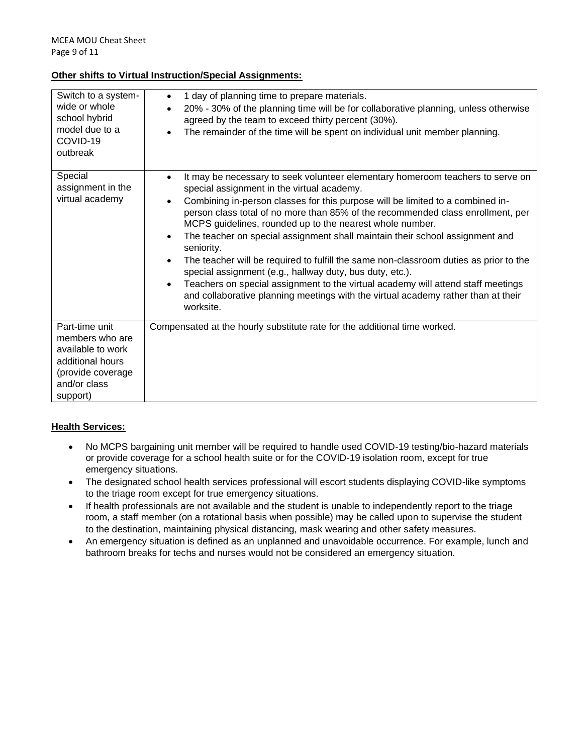## **Other shifts to Virtual Instruction/Special Assignments:**

| Switch to a system-<br>wide or whole<br>school hybrid<br>model due to a<br>COVID-19<br>outbreak                             | 1 day of planning time to prepare materials.<br>$\bullet$<br>20% - 30% of the planning time will be for collaborative planning, unless otherwise<br>agreed by the team to exceed thirty percent (30%).<br>The remainder of the time will be spent on individual unit member planning.                                                                                                                                                                                                                                                                                                                                                                                                                                                                                                                               |
|-----------------------------------------------------------------------------------------------------------------------------|---------------------------------------------------------------------------------------------------------------------------------------------------------------------------------------------------------------------------------------------------------------------------------------------------------------------------------------------------------------------------------------------------------------------------------------------------------------------------------------------------------------------------------------------------------------------------------------------------------------------------------------------------------------------------------------------------------------------------------------------------------------------------------------------------------------------|
| Special<br>assignment in the<br>virtual academy                                                                             | It may be necessary to seek volunteer elementary homeroom teachers to serve on<br>$\bullet$<br>special assignment in the virtual academy.<br>Combining in-person classes for this purpose will be limited to a combined in-<br>person class total of no more than 85% of the recommended class enrollment, per<br>MCPS guidelines, rounded up to the nearest whole number.<br>The teacher on special assignment shall maintain their school assignment and<br>seniority.<br>The teacher will be required to fulfill the same non-classroom duties as prior to the<br>special assignment (e.g., hallway duty, bus duty, etc.).<br>Teachers on special assignment to the virtual academy will attend staff meetings<br>and collaborative planning meetings with the virtual academy rather than at their<br>worksite. |
| Part-time unit<br>members who are<br>available to work<br>additional hours<br>(provide coverage<br>and/or class<br>support) | Compensated at the hourly substitute rate for the additional time worked.                                                                                                                                                                                                                                                                                                                                                                                                                                                                                                                                                                                                                                                                                                                                           |

## **Health Services:**

- No MCPS bargaining unit member will be required to handle used COVID-19 testing/bio-hazard materials or provide coverage for a school health suite or for the COVID-19 isolation room, except for true emergency situations.
- The designated school health services professional will escort students displaying COVID-like symptoms to the triage room except for true emergency situations.
- If health professionals are not available and the student is unable to independently report to the triage room, a staff member (on a rotational basis when possible) may be called upon to supervise the student to the destination, maintaining physical distancing, mask wearing and other safety measures.
- An emergency situation is defined as an unplanned and unavoidable occurrence. For example, lunch and bathroom breaks for techs and nurses would not be considered an emergency situation.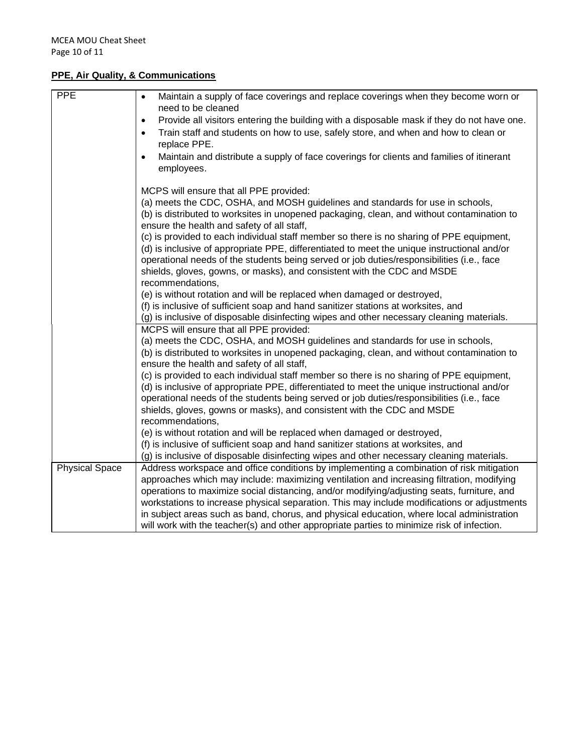# **PPE, Air Quality, & Communications**

| <b>PPE</b>            | Maintain a supply of face coverings and replace coverings when they become worn or<br>$\bullet$<br>need to be cleaned                    |
|-----------------------|------------------------------------------------------------------------------------------------------------------------------------------|
|                       | Provide all visitors entering the building with a disposable mask if they do not have one.<br>$\bullet$                                  |
|                       | Train staff and students on how to use, safely store, and when and how to clean or<br>$\bullet$<br>replace PPE.                          |
|                       | Maintain and distribute a supply of face coverings for clients and families of itinerant<br>$\bullet$<br>employees.                      |
|                       |                                                                                                                                          |
|                       | MCPS will ensure that all PPE provided:                                                                                                  |
|                       | (a) meets the CDC, OSHA, and MOSH guidelines and standards for use in schools,                                                           |
|                       | (b) is distributed to worksites in unopened packaging, clean, and without contamination to<br>ensure the health and safety of all staff, |
|                       | (c) is provided to each individual staff member so there is no sharing of PPE equipment,                                                 |
|                       | (d) is inclusive of appropriate PPE, differentiated to meet the unique instructional and/or                                              |
|                       | operational needs of the students being served or job duties/responsibilities (i.e., face                                                |
|                       | shields, gloves, gowns, or masks), and consistent with the CDC and MSDE                                                                  |
|                       | recommendations,                                                                                                                         |
|                       | (e) is without rotation and will be replaced when damaged or destroyed,                                                                  |
|                       | (f) is inclusive of sufficient soap and hand sanitizer stations at worksites, and                                                        |
|                       | (g) is inclusive of disposable disinfecting wipes and other necessary cleaning materials.                                                |
|                       | MCPS will ensure that all PPE provided:                                                                                                  |
|                       | (a) meets the CDC, OSHA, and MOSH guidelines and standards for use in schools,                                                           |
|                       | (b) is distributed to worksites in unopened packaging, clean, and without contamination to<br>ensure the health and safety of all staff, |
|                       | (c) is provided to each individual staff member so there is no sharing of PPE equipment,                                                 |
|                       | (d) is inclusive of appropriate PPE, differentiated to meet the unique instructional and/or                                              |
|                       | operational needs of the students being served or job duties/responsibilities (i.e., face                                                |
|                       | shields, gloves, gowns or masks), and consistent with the CDC and MSDE                                                                   |
|                       | recommendations,                                                                                                                         |
|                       | (e) is without rotation and will be replaced when damaged or destroyed,                                                                  |
|                       | (f) is inclusive of sufficient soap and hand sanitizer stations at worksites, and                                                        |
|                       | (g) is inclusive of disposable disinfecting wipes and other necessary cleaning materials.                                                |
| <b>Physical Space</b> | Address workspace and office conditions by implementing a combination of risk mitigation                                                 |
|                       | approaches which may include: maximizing ventilation and increasing filtration, modifying                                                |
|                       | operations to maximize social distancing, and/or modifying/adjusting seats, furniture, and                                               |
|                       | workstations to increase physical separation. This may include modifications or adjustments                                              |
|                       | in subject areas such as band, chorus, and physical education, where local administration                                                |
|                       | will work with the teacher(s) and other appropriate parties to minimize risk of infection.                                               |